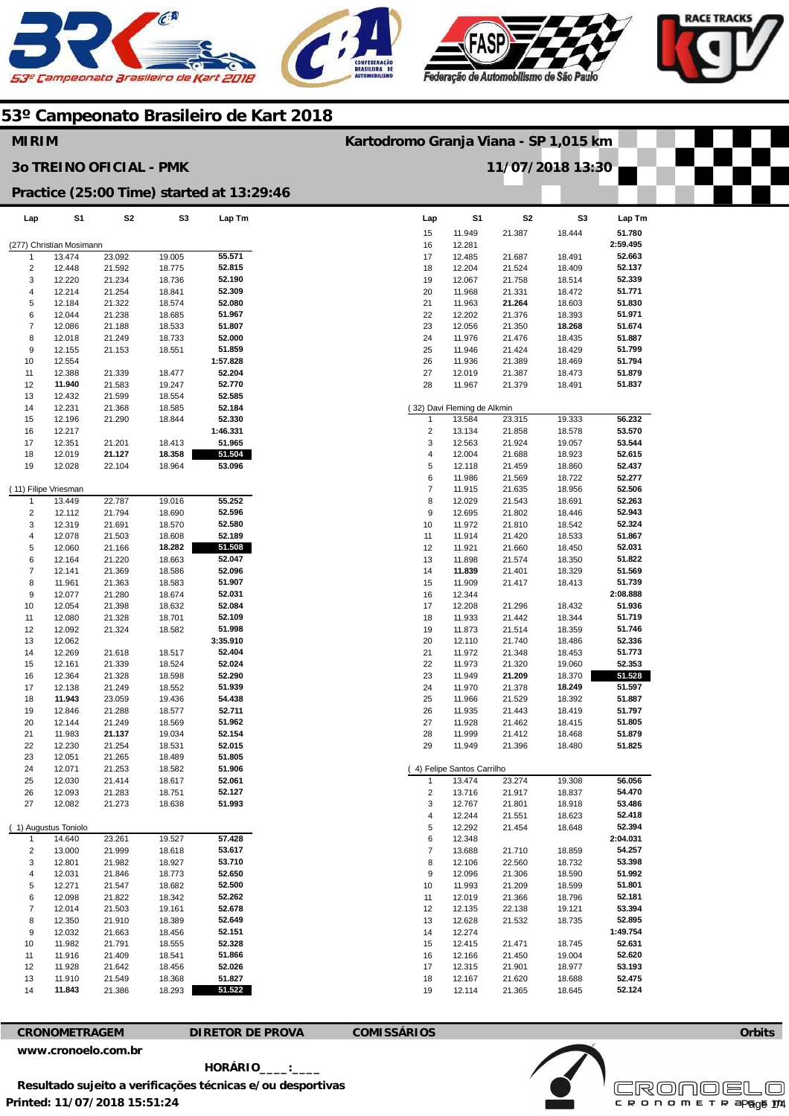





|                         | <b>MIRIM</b><br>Kartodromo Granja Viana - SP 1,015 km |                                |                  |                                           |                         |                             |                  |                  |                  |  |
|-------------------------|-------------------------------------------------------|--------------------------------|------------------|-------------------------------------------|-------------------------|-----------------------------|------------------|------------------|------------------|--|
|                         |                                                       | <b>30 TREINO OFICIAL - PMK</b> |                  |                                           |                         |                             | 11/07/2018 13:30 |                  |                  |  |
|                         |                                                       |                                |                  | Practice (25:00 Time) started at 13:29:46 |                         |                             |                  |                  |                  |  |
| Lap                     | S1                                                    | S <sub>2</sub>                 | S3               | Lap Tm                                    | Lap                     | S <sub>1</sub>              | S <sub>2</sub>   | S <sub>3</sub>   | Lap Tm           |  |
|                         |                                                       |                                |                  |                                           | 15                      | 11.949                      | 21.387           | 18.444           | 51.780           |  |
|                         | (277) Christian Mosimann                              |                                |                  |                                           | 16                      | 12.281                      |                  |                  | 2:59.495         |  |
| $\mathbf{1}$            | 13.474                                                | 23.092                         | 19.005           | 55.571<br>52.815                          | 17                      | 12.485                      | 21.687           | 18.491           | 52.663<br>52.137 |  |
| $\overline{2}$<br>3     | 12.448<br>12.220                                      | 21.592<br>21.234               | 18.775<br>18.736 | 52.190                                    | 18<br>19                | 12.204<br>12.067            | 21.524<br>21.758 | 18.409<br>18.514 | 52.339           |  |
| $\overline{\mathbf{4}}$ | 12.214                                                | 21.254                         | 18.841           | 52.309                                    | 20                      | 11.968                      | 21.331           | 18.472           | 51.771           |  |
| 5                       | 12.184                                                | 21.322                         | 18.574           | 52.080                                    | 21                      | 11.963                      | 21.264           | 18.603           | 51.830           |  |
| 6                       | 12.044                                                | 21.238                         | 18.685           | 51.967                                    | 22                      | 12.202                      | 21.376           | 18.393           | 51.971           |  |
| $\overline{7}$          | 12.086                                                | 21.188                         | 18.533           | 51.807                                    | 23                      | 12.056                      | 21.350           | 18.268           | 51.674           |  |
| 8                       | 12.018                                                | 21.249                         | 18.733           | 52.000                                    | 24                      | 11.976                      | 21.476           | 18.435           | 51.887           |  |
| 9                       | 12.155                                                | 21.153                         | 18.551           | 51.859                                    | 25                      | 11.946                      | 21.424           | 18.429           | 51.799           |  |
| 10                      | 12.554                                                |                                |                  | 1:57.828                                  | 26                      | 11.936                      | 21.389           | 18.469           | 51.794           |  |
| 11                      | 12.388                                                | 21.339                         | 18.477           | 52.204                                    | 27                      | 12.019                      | 21.387           | 18.473           | 51.879           |  |
| 12                      | 11.940                                                | 21.583                         | 19.247           | 52.770                                    | 28                      | 11.967                      | 21.379           | 18.491           | 51.837           |  |
| 13                      | 12.432                                                | 21.599                         | 18.554           | 52.585                                    |                         |                             |                  |                  |                  |  |
| 14                      | 12.231                                                | 21.368                         | 18.585           | 52.184                                    |                         | (32) Davi Fleming de Alkmin |                  |                  |                  |  |
| 15                      | 12.196                                                | 21.290                         | 18.844           | 52.330                                    | 1                       | 13.584                      | 23.315           | 19.333           | 56.232           |  |
| 16                      | 12.217                                                |                                |                  | 1:46.331                                  | 2                       | 13.134                      | 21.858           | 18.578           | 53.570           |  |
| 17                      | 12.351                                                | 21.201                         | 18.413           | 51.965                                    | 3                       | 12.563                      | 21.924           | 19.057           | 53.544           |  |
| 18                      | 12.019                                                | 21.127                         | 18.358           | 51.504                                    | 4                       | 12.004                      | 21.688           | 18.923           | 52.615           |  |
| 19                      | 12.028                                                | 22.104                         | 18.964           | 53.096                                    | 5                       | 12.118                      | 21.459           | 18.860           | 52.437           |  |
|                         |                                                       |                                |                  |                                           | 6                       | 11.986                      | 21.569           | 18.722           | 52.277           |  |
| (11) Filipe Vriesman    |                                                       |                                |                  |                                           | $\overline{7}$          | 11.915                      | 21.635           | 18.956           | 52.506           |  |
| $\mathbf{1}$            | 13.449                                                | 22.787                         | 19.016           | 55.252                                    | 8                       | 12.029                      | 21.543           | 18.691           | 52.263           |  |
| $\overline{2}$          | 12.112                                                | 21.794                         | 18.690           | 52.596                                    | 9                       | 12.695                      | 21.802           | 18.446           | 52.943           |  |
| 3                       | 12.319                                                | 21.691                         | 18.570           | 52.580                                    | 10                      | 11.972                      | 21.810           | 18.542           | 52.324           |  |
| $\overline{\mathbf{4}}$ | 12.078                                                | 21.503                         | 18.608           | 52.189                                    | 11                      | 11.914                      | 21.420           | 18.533           | 51.867           |  |
| 5                       | 12.060                                                | 21.166                         | 18.282           | 51.508                                    | 12                      | 11.921                      | 21.660           | 18.450           | 52.031           |  |
| 6                       | 12.164                                                | 21.220                         | 18.663           | 52.047                                    | 13                      | 11.898                      | 21.574           | 18.350           | 51.822           |  |
| $\overline{7}$          | 12.141                                                | 21.369                         | 18.586           | 52.096                                    | 14                      | 11.839                      | 21.401           | 18.329           | 51.569           |  |
| 8                       | 11.961                                                | 21.363                         | 18.583           | 51.907                                    | 15                      | 11.909                      | 21.417           | 18.413           | 51.739           |  |
| 9                       | 12.077                                                | 21.280                         | 18.674           | 52.031                                    | 16                      | 12.344                      |                  |                  | 2:08.888         |  |
| 10                      | 12.054                                                | 21.398                         | 18.632           | 52.084                                    | 17                      | 12.208                      | 21.296           | 18.432           | 51.936           |  |
| 11                      | 12.080                                                | 21.328                         | 18.701           | 52.109                                    | 18                      | 11.933                      | 21.442           | 18.344           | 51.719           |  |
| 12                      | 12.092                                                | 21.324                         | 18.582           | 51.998                                    | 19                      | 11.873                      | 21.514           | 18.359           | 51.746           |  |
| 13                      | 12.062                                                |                                |                  | 3:35.910                                  | 20                      | 12.110                      | 21.740           | 18.486           | 52.336           |  |
| 14                      | 12.269                                                | 21.618                         | 18.517           | 52.404                                    | 21                      | 11.972                      | 21.348           | 18.453           | 51.773           |  |
| 15                      | 12.161                                                | 21.339                         | 18.524           | 52.024                                    | 22                      | 11.973                      | 21.320           | 19.060           | 52.353           |  |
| 16                      | 12.364                                                | 21.328                         | 18.598           | 52.290                                    | 23                      | 11.949                      | 21.209           | 18.370           | 51.528           |  |
| 17                      | 12.138                                                | 21.249                         | 18.552           | 51.939                                    | 24                      | 11.970                      | 21.378           | 18.249           | 51.597           |  |
| 18                      | 11.943                                                | 23.059                         | 19.436           | 54.438                                    | 25                      | 11.966                      | 21.529           | 18.392           | 51.887           |  |
| 19                      | 12.846                                                | 21.288                         | 18.577           | 52.711                                    | 26                      | 11.935                      | 21.443           | 18.419           | 51.797           |  |
| 20                      | 12.144                                                | 21.249                         | 18.569           | 51.962                                    | 27                      | 11.928                      | 21.462           | 18.415           | 51.805           |  |
| 21<br>22                | 11.983<br>12.230                                      | 21.137<br>21.254               | 19.034<br>18.531 | 52.154<br>52.015                          | 28<br>29                | 11.999<br>11.949            | 21.412<br>21.396 | 18.468<br>18.480 | 51.879<br>51.825 |  |
|                         |                                                       | 21.265                         |                  | 51.805                                    |                         |                             |                  |                  |                  |  |
| 23<br>24                | 12.051<br>12.071                                      | 21.253                         | 18.489<br>18.582 | 51.906                                    |                         | (4) Felipe Santos Carrilho  |                  |                  |                  |  |
| 25                      | 12.030                                                | 21.414                         | 18.617           | 52.061                                    | 1                       | 13.474                      | 23.274           | 19.308           | 56.056           |  |
| 26                      | 12.093                                                | 21.283                         | 18.751           | 52.127                                    | $\overline{\mathbf{c}}$ | 13.716                      | 21.917           | 18.837           | 54.470           |  |
| 27                      | 12.082                                                | 21.273                         | 18.638           | 51.993                                    | 3                       | 12.767                      | 21.801           | 18.918           | 53.486           |  |
|                         |                                                       |                                |                  |                                           | 4                       | 12.244                      | 21.551           | 18.623           | 52.418           |  |
|                         | (1) Augustus Toniolo                                  |                                |                  |                                           | 5                       | 12.292                      | 21.454           | 18.648           | 52.394           |  |
| $\mathbf{1}$            | 14.640                                                | 23.261                         | 19.527           | 57.428                                    | 6                       | 12.348                      |                  |                  | 2:04.031         |  |
| $\overline{\mathbf{c}}$ | 13.000                                                | 21.999                         | 18.618           | 53.617                                    | $\overline{7}$          | 13.688                      | 21.710           | 18.859           | 54.257           |  |
| 3                       | 12.801                                                | 21.982                         | 18.927           | 53.710                                    | 8                       | 12.106                      | 22.560           | 18.732           | 53.398           |  |
| 4                       | 12.031                                                | 21.846                         | 18.773           | 52.650                                    | 9                       | 12.096                      | 21.306           | 18.590           | 51.992           |  |
| 5                       | 12.271                                                | 21.547                         | 18.682           | 52.500                                    | 10                      | 11.993                      | 21.209           | 18.599           | 51.801           |  |
| 6                       | 12.098                                                | 21.822                         | 18.342           | 52.262                                    | 11                      | 12.019                      | 21.366           | 18.796           | 52.181           |  |
| $\overline{7}$          | 12.014                                                | 21.503                         | 19.161           | 52.678                                    | 12                      | 12.135                      | 22.138           | 19.121           | 53.394           |  |
| 8                       | 12.350                                                | 21.910                         | 18.389           | 52.649                                    | 13                      | 12.628                      | 21.532           | 18.735           | 52.895           |  |
| $\boldsymbol{9}$        | 12.032                                                | 21.663                         | 18.456           | 52.151                                    | 14                      | 12.274                      |                  |                  | 1:49.754         |  |
| 10                      | 11.982                                                | 21.791                         | 18.555           | 52.328                                    | 15                      | 12.415                      | 21.471           | 18.745           | 52.631           |  |
| 11                      | 11.916                                                | 21.409                         | 18.541           | 51.866                                    | 16                      | 12.166                      | 21.450           | 19.004           | 52.620           |  |
| 12                      | 11.928                                                | 21.642                         | 18.456           | 52.026                                    | 17                      | 12.315                      | 21.901           | 18.977           | 53.193           |  |
| 13                      | 11.910                                                | 21.549                         | 18.368           | 51.827                                    | 18                      | 12.167                      | 21.620           | 18.688           | 52.475           |  |
| 14                      | 11.843                                                | 21.386                         | 18.293           | 51.522                                    | 19                      | 12.114                      | 21.365           | 18.645           | 52.124           |  |

**CRONOMETRAGEM DIRETOR DE PROVA COMISSÁRIOS** 

**www.cronoelo.com.br** 

 **HORÁRIO\_\_\_\_:\_\_\_\_ Resultado sujeito a verificações técnicas e/ou desportivas** 

**Printed: 11/07/2018 15:51:24** 



Page 1/4

**Licensed to: Cronoelo**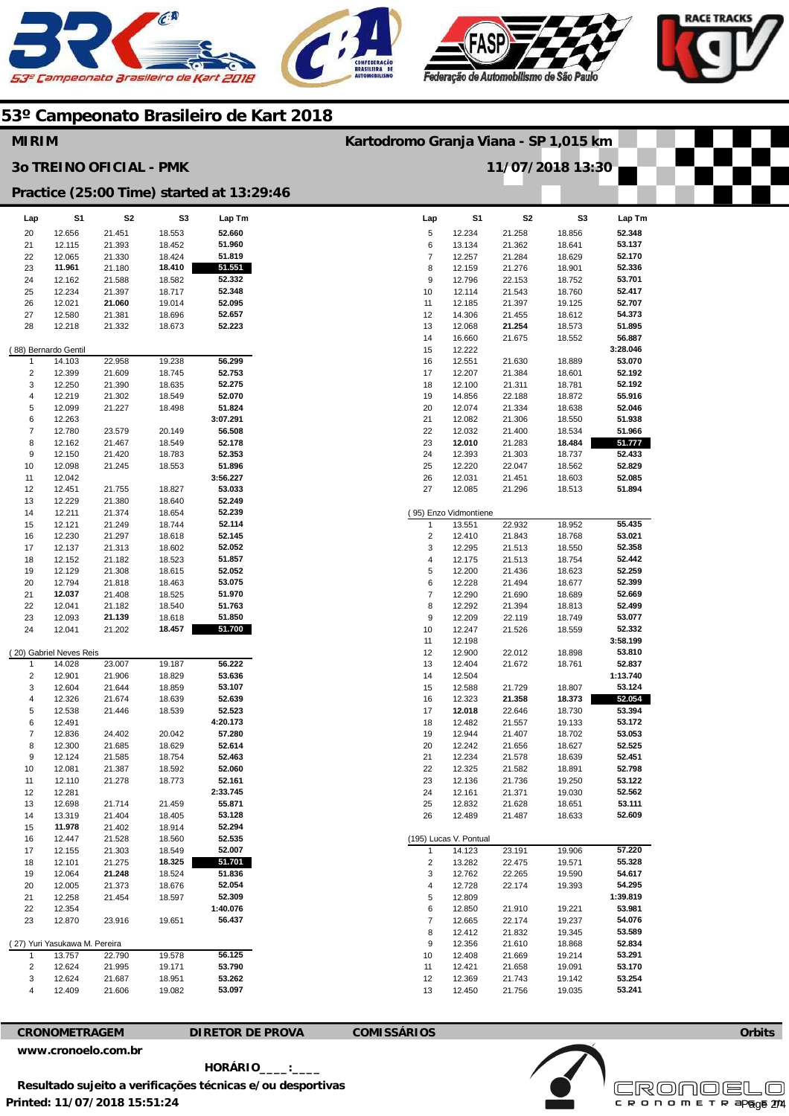





| <b>MIRIM</b>                                       |                               |                  |                  |                    | Kartodromo Granja Viana - SP 1,015 km |                                 |                  |                  |                  |  |  |
|----------------------------------------------------|-------------------------------|------------------|------------------|--------------------|---------------------------------------|---------------------------------|------------------|------------------|------------------|--|--|
| <b>30 TREINO OFICIAL - PMK</b><br>11/07/2018 13:30 |                               |                  |                  |                    |                                       |                                 |                  |                  |                  |  |  |
| Practice (25:00 Time) started at 13:29:46          |                               |                  |                  |                    |                                       |                                 |                  |                  |                  |  |  |
| Lap                                                | S1                            | S2               | S3               | Lap Tm             | Lap                                   | S1                              | S <sub>2</sub>   | S3               | Lap Tm           |  |  |
| 20                                                 | 12.656                        | 21.451           | 18.553           | 52.660             | 5                                     | 12.234                          | 21.258           | 18.856           | 52.348           |  |  |
| 21                                                 | 12.115                        | 21.393           | 18.452           | 51.960             | 6                                     | 13.134                          | 21.362           | 18.641           | 53.137           |  |  |
| 22                                                 | 12.065                        | 21.330           | 18.424           | 51.819             | $\overline{7}$                        | 12.257                          | 21.284           | 18.629           | 52.170           |  |  |
| 23<br>24                                           | 11.961                        | 21.180<br>21.588 | 18.410<br>18.582 | 51.551<br>52.332   | 8<br>9                                | 12.159<br>12.796                | 21.276<br>22.153 | 18.901<br>18.752 | 52.336<br>53.701 |  |  |
| 25                                                 | 12.162<br>12.234              | 21.397           | 18.717           | 52.348             | 10                                    | 12.114                          | 21.543           | 18.760           | 52.417           |  |  |
| 26                                                 | 12.021                        | 21.060           | 19.014           | 52.095             | 11                                    | 12.185                          | 21.397           | 19.125           | 52.707           |  |  |
| 27                                                 | 12.580                        | 21.381           | 18.696           | 52.657             | 12                                    | 14.306                          | 21.455           | 18.612           | 54.373           |  |  |
| 28                                                 | 12.218                        | 21.332           | 18.673           | 52.223             | 13                                    | 12.068                          | 21.254           | 18.573           | 51.895           |  |  |
|                                                    |                               |                  |                  |                    | 14                                    | 16.660                          | 21.675           | 18.552           | 56.887           |  |  |
|                                                    | (88) Bernardo Gentil          |                  |                  |                    | 15                                    | 12.222                          |                  |                  | 3:28.046         |  |  |
| $\mathbf{1}$                                       | 14.103                        | 22.958           | 19.238           | 56.299             | 16                                    | 12.551                          | 21.630           | 18.889           | 53.070           |  |  |
| $\overline{2}$                                     | 12.399                        | 21.609           | 18.745           | 52.753             | 17                                    | 12.207                          | 21.384           | 18.601           | 52.192           |  |  |
| 3                                                  | 12.250                        | 21.390           | 18.635           | 52.275             | 18                                    | 12.100                          | 21.311           | 18.781           | 52.192           |  |  |
| $\overline{4}$<br>5                                | 12.219<br>12.099              | 21.302<br>21.227 | 18.549<br>18.498 | 52.070<br>51.824   | 19<br>20                              | 14.856<br>12.074                | 22.188<br>21.334 | 18.872<br>18.638 | 55.916<br>52.046 |  |  |
| 6                                                  | 12.263                        |                  |                  | 3:07.291           | 21                                    | 12.082                          | 21.306           | 18.550           | 51.938           |  |  |
| $\overline{7}$                                     | 12.780                        | 23.579           | 20.149           | 56.508             | 22                                    | 12.032                          | 21.400           | 18.534           | 51.966           |  |  |
| 8                                                  | 12.162                        | 21.467           | 18.549           | 52.178             | 23                                    | 12.010                          | 21.283           | 18.484           | 51.777           |  |  |
| 9                                                  | 12.150                        | 21.420           | 18.783           | 52.353             | 24                                    | 12.393                          | 21.303           | 18.737           | 52.433           |  |  |
| 10                                                 | 12.098                        | 21.245           | 18.553           | 51.896             | 25                                    | 12.220                          | 22.047           | 18.562           | 52.829           |  |  |
| 11                                                 | 12.042                        |                  |                  | 3:56.227           | 26                                    | 12.031                          | 21.451           | 18.603           | 52.085           |  |  |
| 12                                                 | 12.451                        | 21.755           | 18.827           | 53.033             | 27                                    | 12.085                          | 21.296           | 18.513           | 51.894           |  |  |
| 13                                                 | 12.229                        | 21.380           | 18.640           | 52.249             |                                       |                                 |                  |                  |                  |  |  |
| 14<br>15                                           | 12.211<br>12.121              | 21.374<br>21.249 | 18.654<br>18.744 | 52.239<br>52.114   | $\overline{1}$                        | (95) Enzo Vidmontiene<br>13.551 | 22.932           | 18.952           | 55.435           |  |  |
| 16                                                 | 12.230                        | 21.297           | 18.618           | 52.145             | $\overline{2}$                        | 12.410                          | 21.843           | 18.768           | 53.021           |  |  |
| 17                                                 | 12.137                        | 21.313           | 18.602           | 52.052             | 3                                     | 12.295                          | 21.513           | 18.550           | 52.358           |  |  |
| 18                                                 | 12.152                        | 21.182           | 18.523           | 51.857             | 4                                     | 12.175                          | 21.513           | 18.754           | 52.442           |  |  |
| 19                                                 | 12.129                        | 21.308           | 18.615           | 52.052             | 5                                     | 12.200                          | 21.436           | 18.623           | 52.259           |  |  |
| 20                                                 | 12.794                        | 21.818           | 18.463           | 53.075             | 6                                     | 12.228                          | 21.494           | 18.677           | 52.399           |  |  |
| 21                                                 | 12.037                        | 21.408           | 18.525           | 51.970             | $\overline{7}$                        | 12.290                          | 21.690           | 18.689           | 52.669           |  |  |
| 22                                                 | 12.041                        | 21.182           | 18.540           | 51.763             | 8                                     | 12.292                          | 21.394           | 18.813           | 52.499           |  |  |
| 23<br>24                                           | 12.093<br>12.041              | 21.139<br>21.202 | 18.618<br>18.457 | 51.850<br>51.700   | 9<br>10                               | 12.209<br>12.247                | 22.119<br>21.526 | 18.749<br>18.559 | 53.077<br>52.332 |  |  |
|                                                    |                               |                  |                  |                    | 11                                    | 12.198                          |                  |                  | 3:58.199         |  |  |
|                                                    | (20) Gabriel Neves Reis       |                  |                  |                    | 12                                    | 12.900                          | 22.012           | 18.898           | 53.810           |  |  |
| $\mathbf 1$                                        | 14.028                        | 23.007           | 19.187           | 56.222             | 13                                    | 12.404                          | 21.672           | 18.761           | 52.837           |  |  |
| $\overline{2}$                                     | 12.901                        | 21.906           | 18.829           | 53.636             | 14                                    | 12.504                          |                  |                  | 1:13.740         |  |  |
| 3                                                  | 12.604                        | 21.644           | 18.859           | 53.107             | 15                                    | 12.588                          | 21.729           | 18.807           | 53.124           |  |  |
| $\overline{4}$                                     | 12.326                        | 21.674           | 18.639           | 52.639             | 16                                    | 12.323                          | 21.358           | 18.373           | 52.054           |  |  |
| 5<br>6                                             | 12.538<br>12.491              | 21.446           | 18.539           | 52.523<br>4:20.173 | 17<br>18                              | 12.018<br>12.482                | 22.646<br>21.557 | 18.730<br>19.133 | 53.394<br>53.172 |  |  |
| $\overline{7}$                                     | 12.836                        | 24.402           | 20.042           | 57.280             | 19                                    | 12.944                          | 21.407           | 18.702           | 53.053           |  |  |
| 8                                                  | 12.300                        | 21.685           | 18.629           | 52.614             | 20                                    | 12.242                          | 21.656           | 18.627           | 52.525           |  |  |
| 9                                                  | 12.124                        | 21.585           | 18.754           | 52.463             | 21                                    | 12.234                          | 21.578           | 18.639           | 52.451           |  |  |
| 10                                                 | 12.081                        | 21.387           | 18.592           | 52.060             | 22                                    | 12.325                          | 21.582           | 18.891           | 52.798           |  |  |
| 11                                                 | 12.110                        | 21.278           | 18.773           | 52.161             | 23                                    | 12.136                          | 21.736           | 19.250           | 53.122           |  |  |
| 12                                                 | 12.281                        |                  |                  | 2:33.745           | 24                                    | 12.161                          | 21.371           | 19.030           | 52.562           |  |  |
| 13                                                 | 12.698                        | 21.714           | 21.459           | 55.871             | 25                                    | 12.832                          | 21.628           | 18.651           | 53.111           |  |  |
| 14<br>15                                           | 13.319<br>11.978              | 21.404<br>21.402 | 18.405<br>18.914 | 53.128<br>52.294   | 26                                    | 12.489                          | 21.487           | 18.633           | 52.609           |  |  |
| 16                                                 | 12.447                        | 21.528           | 18.560           | 52.535             |                                       | (195) Lucas V. Pontual          |                  |                  |                  |  |  |
| 17                                                 | 12.155                        | 21.303           | 18.549           | 52.007             | $\mathbf{1}$                          | 14.123                          | 23.191           | 19.906           | 57.220           |  |  |
| 18                                                 | 12.101                        | 21.275           | 18.325           | 51.701             | $\overline{2}$                        | 13.282                          | 22.475           | 19.571           | 55.328           |  |  |
| 19                                                 | 12.064                        | 21.248           | 18.524           | 51.836             | 3                                     | 12.762                          | 22.265           | 19.590           | 54.617           |  |  |
| 20                                                 | 12.005                        | 21.373           | 18.676           | 52.054             | 4                                     | 12.728                          | 22.174           | 19.393           | 54.295           |  |  |
| 21                                                 | 12.258                        | 21.454           | 18.597           | 52.309             | 5                                     | 12.809                          |                  |                  | 1:39.819         |  |  |
| 22                                                 | 12.354                        |                  |                  | 1:40.076           | 6                                     | 12.850                          | 21.910           | 19.221           | 53.981           |  |  |
| 23                                                 | 12.870                        | 23.916           | 19.651           | 56.437             | $\overline{7}$                        | 12.665                          | 22.174           | 19.237           | 54.076           |  |  |
|                                                    | (27) Yuri Yasukawa M. Pereira |                  |                  |                    | 8<br>9                                | 12.412<br>12.356                | 21.832<br>21.610 | 19.345<br>18.868 | 53.589<br>52.834 |  |  |
| $\overline{1}$                                     | 13.757                        | 22.790           | 19.578           | 56.125             | 10                                    | 12.408                          | 21.669           | 19.214           | 53.291           |  |  |
| $\overline{2}$                                     | 12.624                        | 21.995           | 19.171           | 53.790             | 11                                    | 12.421                          | 21.658           | 19.091           | 53.170           |  |  |
| 3                                                  | 12.624                        | 21.687           | 18.951           | 53.262             | 12                                    | 12.369                          | 21.743           | 19.142           | 53.254           |  |  |
| $\overline{4}$                                     | 12.409                        | 21.606           | 19.082           | 53.097             | 13                                    | 12.450                          | 21.756           | 19.035           | 53.241           |  |  |
|                                                    |                               |                  |                  |                    |                                       |                                 |                  |                  |                  |  |  |

### **CRONOMETRAGEM DIRETOR DE PROVA COMISSÁRIOS**

**www.cronoelo.com.br** 

**Printed: 11/07/2018 15:51:24 HORÁRIO\_\_\_\_:\_\_\_\_ Resultado sujeito a verificações técnicas e/ou desportivas** 

**Orbits Licensed to: Cronoelo**  Page 274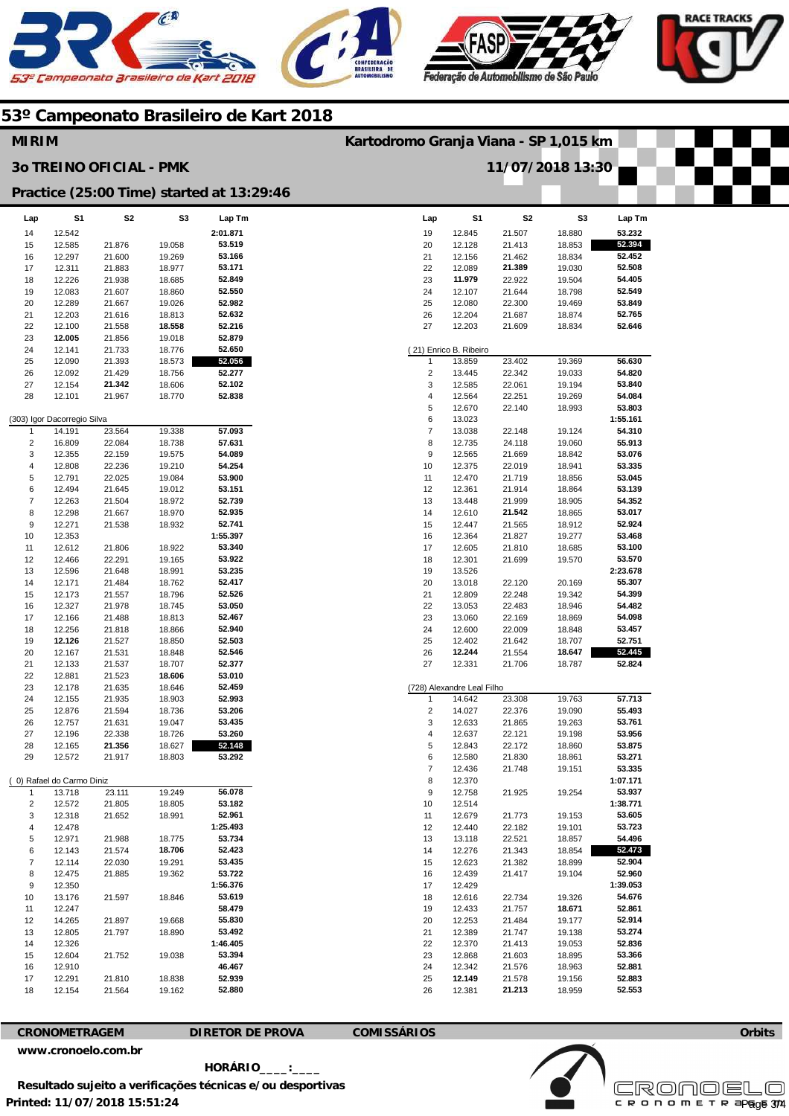





| <b>MIRIM</b>              |                             |                                |                  |                                           |          | Kartodromo Granja Viana - SP 1,015 km |                            |                  |                  |                    |  |
|---------------------------|-----------------------------|--------------------------------|------------------|-------------------------------------------|----------|---------------------------------------|----------------------------|------------------|------------------|--------------------|--|
|                           |                             | <b>30 TREINO OFICIAL - PMK</b> |                  |                                           |          | 11/07/2018 13:30                      |                            |                  |                  |                    |  |
|                           |                             |                                |                  | Practice (25:00 Time) started at 13:29:46 |          |                                       |                            |                  |                  |                    |  |
| Lap                       | S <sub>1</sub>              | S <sub>2</sub>                 | S <sub>3</sub>   | Lap Tm                                    |          | Lap                                   | S <sub>1</sub>             | S <sub>2</sub>   | S <sub>3</sub>   | Lap Tm             |  |
| 14                        | 12.542                      |                                |                  | 2:01.871                                  | 19       |                                       | 12.845                     | 21.507           | 18.880           | 53.232             |  |
| 15                        | 12.585                      | 21.876                         | 19.058           | 53.519                                    | 20       |                                       | 12.128                     | 21.413           | 18.853           | 52.394             |  |
| 16                        | 12.297                      | 21.600                         | 19.269           | 53.166                                    | 21       |                                       | 12.156                     | 21.462           | 18.834           | 52.452             |  |
| 17<br>18                  | 12.311<br>12.226            | 21.883<br>21.938               | 18.977<br>18.685 | 53.171<br>52.849                          | 22<br>23 |                                       | 12.089<br>11.979           | 21.389<br>22.922 | 19.030<br>19.504 | 52.508<br>54.405   |  |
| 19                        | 12.083                      | 21.607                         | 18.860           | 52.550                                    | 24       |                                       | 12.107                     | 21.644           | 18.798           | 52.549             |  |
| 20                        | 12.289                      | 21.667                         | 19.026           | 52.982                                    | 25       |                                       | 12.080                     | 22.300           | 19.469           | 53.849             |  |
| 21                        | 12.203                      | 21.616                         | 18.813           | 52.632                                    | 26       |                                       | 12.204                     | 21.687           | 18.874           | 52.765             |  |
| 22                        | 12.100                      | 21.558                         | 18.558           | 52.216                                    | 27       |                                       | 12.203                     | 21.609           | 18.834           | 52.646             |  |
| 23                        | 12.005                      | 21.856                         | 19.018           | 52.879                                    |          |                                       |                            |                  |                  |                    |  |
| 24                        | 12.141                      | 21.733                         | 18.776           | 52.650                                    |          |                                       | (21) Enrico B. Ribeiro     |                  |                  |                    |  |
| 25                        | 12.090                      | 21.393                         | 18.573           | 52.056                                    |          | $\mathbf{1}$                          | 13.859                     | 23.402           | 19.369           | 56.630             |  |
| 26                        | 12.092                      | 21.429                         | 18.756           | 52.277                                    |          | $\overline{2}$                        | 13.445                     | 22.342           | 19.033           | 54.820             |  |
| 27                        | 12.154                      | 21.342                         | 18.606           | 52.102                                    |          | 3                                     | 12.585                     | 22.061           | 19.194           | 53.840             |  |
| 28                        | 12.101                      | 21.967                         | 18.770           | 52.838                                    |          | 4<br>5                                | 12.564<br>12.670           | 22.251<br>22.140 | 19.269<br>18.993 | 54.084<br>53.803   |  |
|                           | (303) Igor Dacorregio Silva |                                |                  |                                           |          | 6                                     | 13.023                     |                  |                  | 1:55.161           |  |
| 1                         | 14.191                      | 23.564                         | 19.338           | 57.093                                    |          | $\overline{7}$                        | 13.038                     | 22.148           | 19.124           | 54.310             |  |
| $\overline{\mathbf{c}}$   | 16.809                      | 22.084                         | 18.738           | 57.631                                    |          | 8                                     | 12.735                     | 24.118           | 19.060           | 55.913             |  |
| 3                         | 12.355                      | 22.159                         | 19.575           | 54.089                                    |          | 9                                     | 12.565                     | 21.669           | 18.842           | 53.076             |  |
| 4                         | 12.808                      | 22.236                         | 19.210           | 54.254                                    | 10       |                                       | 12.375                     | 22.019           | 18.941           | 53.335             |  |
| 5                         | 12.791                      | 22.025                         | 19.084           | 53.900                                    | 11       |                                       | 12.470                     | 21.719           | 18.856           | 53.045             |  |
| 6                         | 12.494                      | 21.645                         | 19.012           | 53.151                                    | 12       |                                       | 12.361                     | 21.914           | 18.864           | 53.139             |  |
| $\overline{\mathfrak{c}}$ | 12.263                      | 21.504                         | 18.972           | 52.739                                    | 13       |                                       | 13.448                     | 21.999           | 18.905           | 54.352             |  |
| 8                         | 12.298                      | 21.667                         | 18.970           | 52.935                                    | 14       |                                       | 12.610                     | 21.542           | 18.865           | 53.017             |  |
| 9<br>10                   | 12.271<br>12.353            | 21.538                         | 18.932           | 52.741<br>1:55.397                        | 15<br>16 |                                       | 12.447<br>12.364           | 21.565<br>21.827 | 18.912<br>19.277 | 52.924<br>53.468   |  |
| 11                        | 12.612                      | 21.806                         | 18.922           | 53.340                                    | 17       |                                       | 12.605                     | 21.810           | 18.685           | 53.100             |  |
| 12                        | 12.466                      | 22.291                         | 19.165           | 53.922                                    | 18       |                                       | 12.301                     | 21.699           | 19.570           | 53.570             |  |
| 13                        | 12.596                      | 21.648                         | 18.991           | 53.235                                    | 19       |                                       | 13.526                     |                  |                  | 2:23.678           |  |
| 14                        | 12.171                      | 21.484                         | 18.762           | 52.417                                    | 20       |                                       | 13.018                     | 22.120           | 20.169           | 55.307             |  |
| 15                        | 12.173                      | 21.557                         | 18.796           | 52.526                                    | 21       |                                       | 12.809                     | 22.248           | 19.342           | 54.399             |  |
| 16                        | 12.327                      | 21.978                         | 18.745           | 53.050                                    | 22       |                                       | 13.053                     | 22.483           | 18.946           | 54.482             |  |
| 17                        | 12.166                      | 21.488                         | 18.813           | 52.467                                    | 23       |                                       | 13.060                     | 22.169           | 18.869           | 54.098             |  |
| 18                        | 12.256                      | 21.818                         | 18.866           | 52.940                                    | 24       |                                       | 12.600                     | 22.009           | 18.848           | 53.457             |  |
| 19                        | 12.126                      | 21.527                         | 18.850           | 52.503                                    | 25       |                                       | 12.402                     | 21.642           | 18.707           | 52.751             |  |
| 20<br>21                  | 12.167<br>12.133            | 21.531<br>21.537               | 18.848<br>18.707 | 52.546<br>52.377                          | 26<br>27 |                                       | 12.244<br>12.331           | 21.554<br>21.706 | 18.647<br>18.787 | 52.445<br>52.824   |  |
| 22                        | 12.881                      | 21.523                         | 18.606           | 53.010                                    |          |                                       |                            |                  |                  |                    |  |
| 23                        | 12.178                      | 21.635                         | 18.646           | 52.459                                    |          |                                       | (728) Alexandre Leal Filho |                  |                  |                    |  |
| 24                        | 12.155                      | 21.935                         | 18.903           | 52.993                                    |          | 1                                     | 14.642                     | 23.308           | 19.763           | 57.713             |  |
| 25                        | 12.876                      | 21.594                         | 18.736           | 53.206                                    |          | $\overline{2}$                        | 14.027                     | 22.376           | 19.090           | 55.493             |  |
| 26                        | 12.757                      | 21.631                         | 19.047           | 53.435                                    |          | 3                                     | 12.633                     | 21.865           | 19.263           | 53.761             |  |
| 27                        | 12.196                      | 22.338                         | 18.726           | 53.260                                    |          | 4                                     | 12.637                     | 22.121           | 19.198           | 53.956             |  |
| 28                        | 12.165                      | 21.356                         | 18.627           | 52.148                                    |          | $\,$ 5 $\,$                           | 12.843                     | 22.172           | 18.860           | 53.875             |  |
| 29                        | 12.572                      | 21.917                         | 18.803           | 53.292                                    |          | 6                                     | 12.580                     | 21.830           | 18.861           | 53.271             |  |
|                           | (0) Rafael do Carmo Diniz   |                                |                  |                                           |          | $\overline{\mathbf{7}}$<br>8          | 12.436<br>12.370           | 21.748           | 19.151           | 53.335<br>1:07.171 |  |
| $\mathbf{1}$              | 13.718                      | 23.111                         | 19.249           | 56.078                                    |          | 9                                     | 12.758                     | 21.925           | 19.254           | 53.937             |  |
| $\overline{\mathbf{c}}$   | 12.572                      | 21.805                         | 18.805           | 53.182                                    | 10       |                                       | 12.514                     |                  |                  | 1:38.771           |  |
| 3                         | 12.318                      | 21.652                         | 18.991           | 52.961                                    | 11       |                                       | 12.679                     | 21.773           | 19.153           | 53.605             |  |
| 4                         | 12.478                      |                                |                  | 1:25.493                                  | 12       |                                       | 12.440                     | 22.182           | 19.101           | 53.723             |  |
| 5                         | 12.971                      | 21.988                         | 18.775           | 53.734                                    | 13       |                                       | 13.118                     | 22.521           | 18.857           | 54.496             |  |
| 6                         | 12.143                      | 21.574                         | 18.706           | 52.423                                    | 14       |                                       | 12.276                     | 21.343           | 18.854           | 52.473             |  |
| $\overline{\mathfrak{c}}$ | 12.114                      | 22.030                         | 19.291           | 53.435                                    | 15       |                                       | 12.623                     | 21.382           | 18.899           | 52.904             |  |
| 8                         | 12.475                      | 21.885                         | 19.362           | 53.722                                    | 16       |                                       | 12.439                     | 21.417           | 19.104           | 52.960             |  |
| 9                         | 12.350                      |                                |                  | 1:56.376                                  | 17       |                                       | 12.429                     |                  |                  | 1:39.053           |  |
| 10                        | 13.176                      | 21.597                         | 18.846           | 53.619                                    | 18       |                                       | 12.616                     | 22.734           | 19.326           | 54.676             |  |
| 11                        | 12.247                      |                                |                  | 58.479                                    | 19       |                                       | 12.433                     | 21.757           | 18.671           | 52.861             |  |
| 12<br>13                  | 14.265<br>12.805            | 21.897<br>21.797               | 19.668<br>18.890 | 55.830<br>53.492                          | 20<br>21 |                                       | 12.253<br>12.389           | 21.484<br>21.747 | 19.177<br>19.138 | 52.914<br>53.274   |  |
| 14                        | 12.326                      |                                |                  | 1:46.405                                  | 22       |                                       | 12.370                     | 21.413           | 19.053           | 52.836             |  |
| 15                        | 12.604                      | 21.752                         | 19.038           | 53.394                                    | 23       |                                       | 12.868                     | 21.603           | 18.895           | 53.366             |  |
| 16                        | 12.910                      |                                |                  | 46.467                                    | 24       |                                       | 12.342                     | 21.576           | 18.963           | 52.881             |  |
| 17                        | 12.291                      | 21.810                         | 18.838           | 52.939                                    | 25       |                                       | 12.149                     | 21.578           | 19.156           | 52.883             |  |
| 18                        | 12.154                      | 21.564                         | 19.162           | 52.880                                    | 26       |                                       | 12.381                     | 21.213           | 18.959           | 52.553             |  |

**CRONOMETRAGEM DIRETOR DE PROVA COMISSÁRIOS** 

**www.cronoelo.com.br** 

 **HORÁRIO\_\_\_\_:\_\_\_\_ Resultado sujeito a verificações técnicas e/ou desportivas** 

**Printed: 11/07/2018 15:51:24** 



**Orbits**